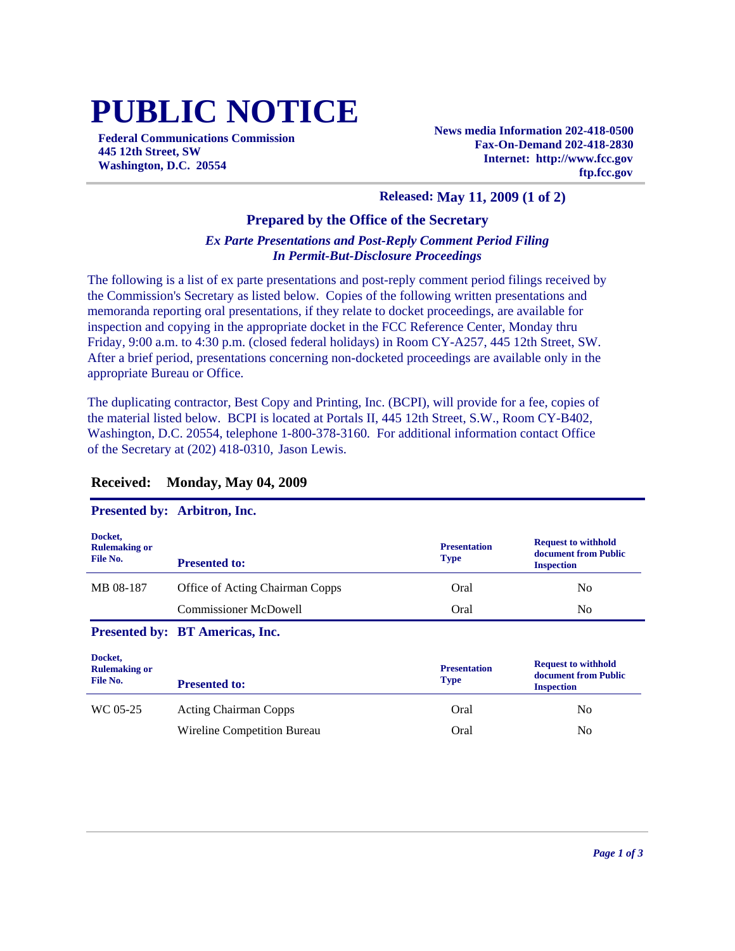# **PUBLIC NOTICE**

**Federal Communications Commission 445 12th Street, SW Washington, D.C. 20554**

**News media Information 202-418-0500 Fax-On-Demand 202-418-2830 Internet: http://www.fcc.gov ftp.fcc.gov**

#### **Released: May 11, 2009 (1 of 2)**

#### **Prepared by the Office of the Secretary**

#### *Ex Parte Presentations and Post-Reply Comment Period Filing In Permit-But-Disclosure Proceedings*

The following is a list of ex parte presentations and post-reply comment period filings received by the Commission's Secretary as listed below. Copies of the following written presentations and memoranda reporting oral presentations, if they relate to docket proceedings, are available for inspection and copying in the appropriate docket in the FCC Reference Center, Monday thru Friday, 9:00 a.m. to 4:30 p.m. (closed federal holidays) in Room CY-A257, 445 12th Street, SW. After a brief period, presentations concerning non-docketed proceedings are available only in the appropriate Bureau or Office.

The duplicating contractor, Best Copy and Printing, Inc. (BCPI), will provide for a fee, copies of the material listed below. BCPI is located at Portals II, 445 12th Street, S.W., Room CY-B402, Washington, D.C. 20554, telephone 1-800-378-3160. For additional information contact Office of the Secretary at (202) 418-0310, Jason Lewis.

|                                             | $\blacksquare$ i coemecto $\sigma$ , . The set only met |                                    |                                                                         |
|---------------------------------------------|---------------------------------------------------------|------------------------------------|-------------------------------------------------------------------------|
| Docket,<br><b>Rulemaking or</b><br>File No. | <b>Presented to:</b>                                    | <b>Presentation</b><br><b>Type</b> | <b>Request to withhold</b><br>document from Public<br><b>Inspection</b> |
| MB 08-187                                   | <b>Office of Acting Chairman Copps</b>                  | Oral                               | N <sub>0</sub>                                                          |
|                                             | <b>Commissioner McDowell</b>                            | Oral                               | N <sub>0</sub>                                                          |
|                                             | Presented by: BT Americas, Inc.                         |                                    |                                                                         |
| Docket,<br><b>Rulemaking or</b><br>File No. | <b>Presented to:</b>                                    | <b>Presentation</b><br><b>Type</b> | <b>Request to withhold</b><br>document from Public<br><b>Inspection</b> |
| WC 05-25                                    | <b>Acting Chairman Copps</b>                            | Oral                               | N <sub>0</sub>                                                          |
|                                             | Wireline Competition Bureau                             | Oral                               | N <sub>0</sub>                                                          |

#### **Received: Monday, May 04, 2009**

### **Presented by: Arbitron, Inc.**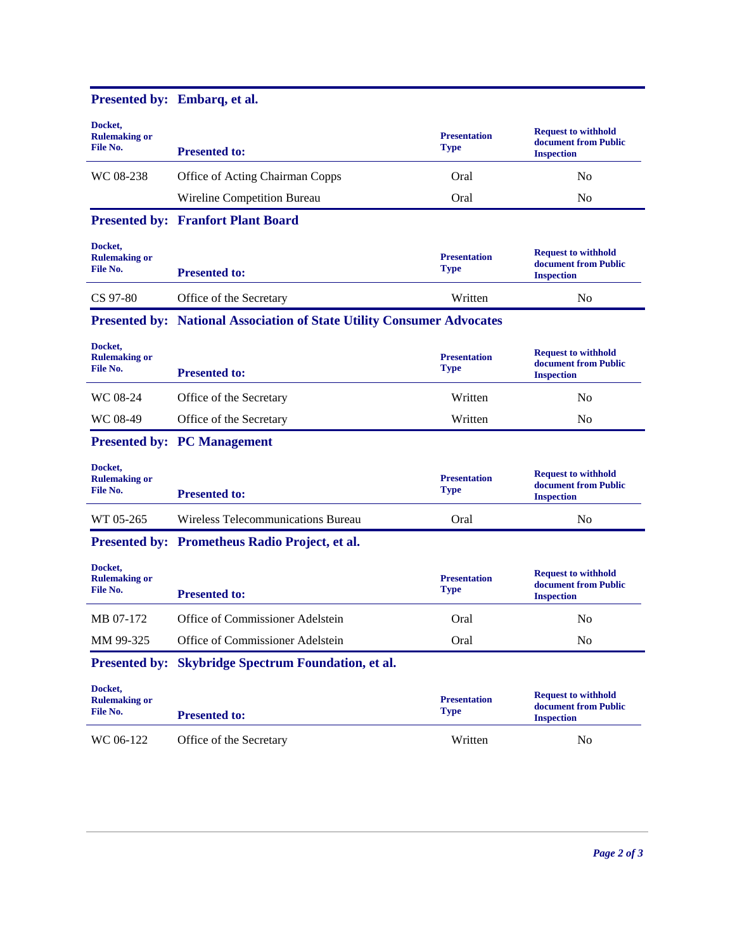| Docket,<br><b>Rulemaking or</b><br>File No. | <b>Presented to:</b>                                                          | <b>Presentation</b><br><b>Type</b> | <b>Request to withhold</b><br>document from Public<br><b>Inspection</b> |  |  |
|---------------------------------------------|-------------------------------------------------------------------------------|------------------------------------|-------------------------------------------------------------------------|--|--|
| WC 08-238                                   | Office of Acting Chairman Copps                                               | Oral                               | N <sub>0</sub>                                                          |  |  |
|                                             | Wireline Competition Bureau                                                   | Oral                               | No                                                                      |  |  |
|                                             | <b>Presented by: Franfort Plant Board</b>                                     |                                    |                                                                         |  |  |
| Docket,<br><b>Rulemaking or</b><br>File No. | <b>Presented to:</b>                                                          | <b>Presentation</b><br>Type        | <b>Request to withhold</b><br>document from Public<br><b>Inspection</b> |  |  |
| CS 97-80                                    | Office of the Secretary                                                       | Written                            | N <sub>0</sub>                                                          |  |  |
|                                             | <b>Presented by: National Association of State Utility Consumer Advocates</b> |                                    |                                                                         |  |  |
| Docket.<br><b>Rulemaking or</b><br>File No. | <b>Presented to:</b>                                                          | <b>Presentation</b><br><b>Type</b> | <b>Request to withhold</b><br>document from Public<br><b>Inspection</b> |  |  |
| WC 08-24                                    | Office of the Secretary                                                       | Written                            | N <sub>0</sub>                                                          |  |  |
| WC 08-49                                    | Office of the Secretary                                                       | Written                            | N <sub>0</sub>                                                          |  |  |
|                                             | <b>Presented by: PC Management</b>                                            |                                    |                                                                         |  |  |
| Docket,<br><b>Rulemaking or</b><br>File No. | <b>Presented to:</b>                                                          | <b>Presentation</b><br><b>Type</b> | <b>Request to withhold</b><br>document from Public<br><b>Inspection</b> |  |  |
| WT 05-265                                   | Wireless Telecommunications Bureau                                            | Oral                               | N <sub>0</sub>                                                          |  |  |
|                                             | Presented by: Prometheus Radio Project, et al.                                |                                    |                                                                         |  |  |
| Docket,<br><b>Rulemaking or</b><br>File No. | <b>Presented to:</b>                                                          | <b>Presentation</b><br><b>Type</b> | <b>Request to withhold</b><br>document from Public<br><b>Inspection</b> |  |  |
| MB 07-172                                   | Office of Commissioner Adelstein                                              | Oral                               | No                                                                      |  |  |
| MM 99-325                                   | Office of Commissioner Adelstein                                              | Oral                               | No                                                                      |  |  |
|                                             | Presented by: Skybridge Spectrum Foundation, et al.                           |                                    |                                                                         |  |  |
| Docket.<br><b>Rulemaking or</b><br>File No. | <b>Presented to:</b>                                                          | <b>Presentation</b><br><b>Type</b> | <b>Request to withhold</b><br>document from Public<br><b>Inspection</b> |  |  |
| WC 06-122                                   | Office of the Secretary                                                       | Written                            | No                                                                      |  |  |
|                                             |                                                                               |                                    |                                                                         |  |  |

#### **Presented by: Embarq, et al.**